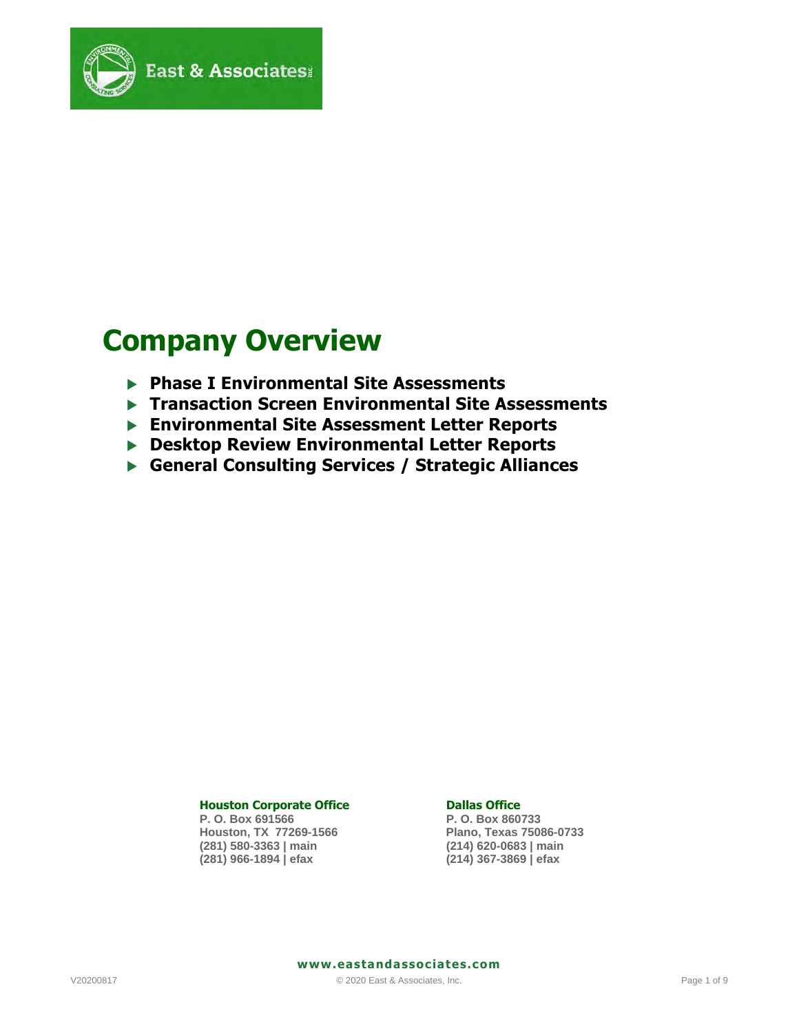

# **Company Overview**

- **Phase I Environmental Site Assessments**
- **Transaction Screen Environmental Site Assessments**
- **Environmental Site Assessment Letter Reports**
- **Desktop Review Environmental Letter Reports**
- **General Consulting Services / Strategic Alliances**

#### **Houston Corporate Office Community Constrainers** Dallas Office

**P. O. Box 691566 P. O. Box 860733 Houston, TX 77269-1566 Plano, Texas 75086-0733 (281) 580-3363 | main (214) 620-0683 | main** 

**(281) 966-1894 | efax (214) 367-3869 | efax** 

 **www.eastandassociates.com**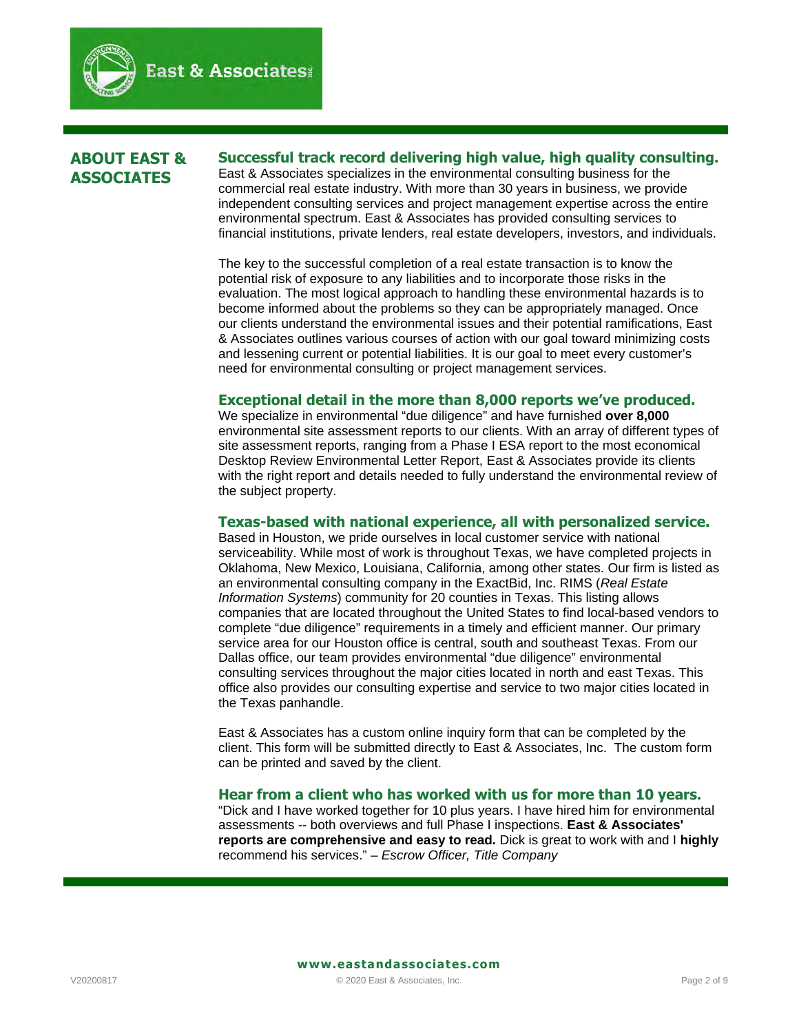$\mathbf{I}$ 

# **ABOUT EAST & ASSOCIATES**

**Successful track record delivering high value, high quality consulting.**  East & Associates specializes in the environmental consulting business for the commercial real estate industry. With more than 30 years in business, we provide independent consulting services and project management expertise across the entire environmental spectrum. East & Associates has provided consulting services to financial institutions, private lenders, real estate developers, investors, and individuals.

The key to the successful completion of a real estate transaction is to know the potential risk of exposure to any liabilities and to incorporate those risks in the evaluation. The most logical approach to handling these environmental hazards is to become informed about the problems so they can be appropriately managed. Once our clients understand the environmental issues and their potential ramifications, East & Associates outlines various courses of action with our goal toward minimizing costs and lessening current or potential liabilities. It is our goal to meet every customer's need for environmental consulting or project management services.

#### **Exceptional detail in the more than 8,000 reports we've produced.**

We specialize in environmental "due diligence" and have furnished **over 8,000** environmental site assessment reports to our clients. With an array of different types of site assessment reports, ranging from a Phase I ESA report to the most economical Desktop Review Environmental Letter Report, East & Associates provide its clients with the right report and details needed to fully understand the environmental review of the subject property.

#### **Texas-based with national experience, all with personalized service.**

Based in Houston, we pride ourselves in local customer service with national serviceability. While most of work is throughout Texas, we have completed projects in Oklahoma, New Mexico, Louisiana, California, among other states. Our firm is listed as an environmental consulting company in the ExactBid, Inc. RIMS (*Real Estate Information Systems*) community for 20 counties in Texas. This listing allows companies that are located throughout the United States to find local-based vendors to complete "due diligence" requirements in a timely and efficient manner. Our primary service area for our Houston office is central, south and southeast Texas. From our Dallas office, our team provides environmental "due diligence" environmental consulting services throughout the major cities located in north and east Texas. This office also provides our consulting expertise and service to two major cities located in the Texas panhandle.

East & Associates has a custom online inquiry form that can be completed by the client. This form will be submitted directly to East & Associates, Inc. The custom form can be printed and saved by the client.

#### **Hear from a client who has worked with us for more than 10 years.**

"Dick and I have worked together for 10 plus years. I have hired him for environmental assessments -- both overviews and full Phase I inspections. **East & Associates' reports are comprehensive and easy to read.** Dick is great to work with and I **highly** recommend his services." – *Escrow Officer, Title Company*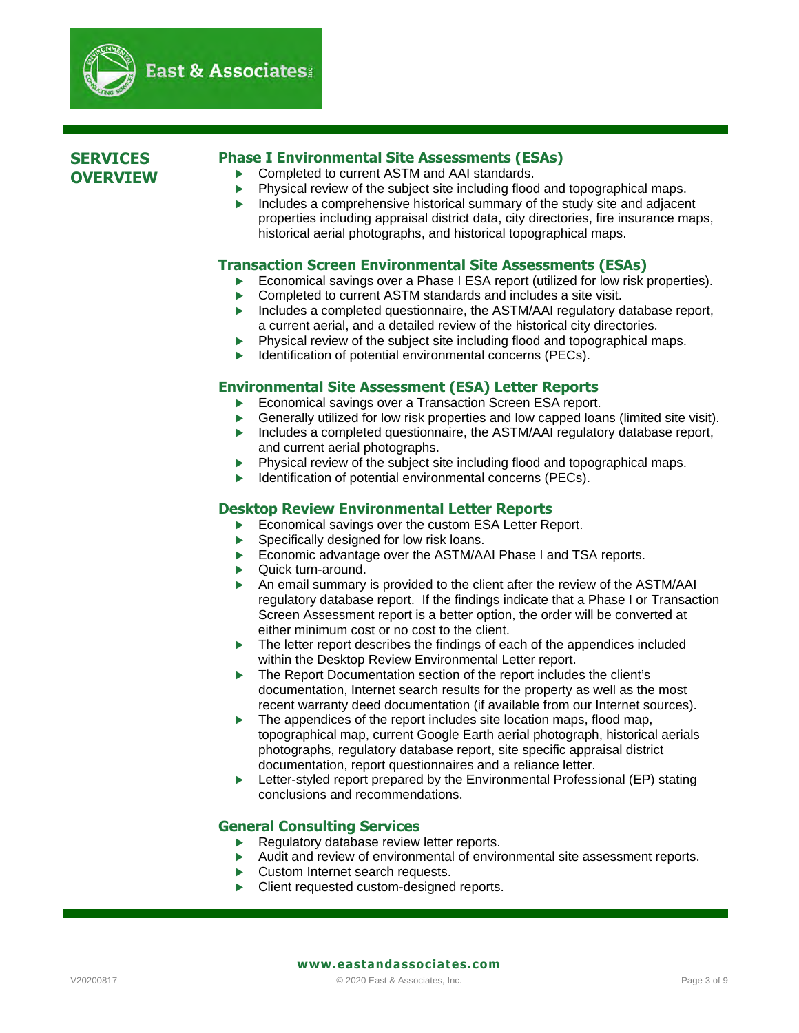

# **SERVICES OVERVIEW**

# **Phase I Environmental Site Assessments (ESAs)**

▶ Completed to current ASTM and AAI standards.

 $\mathbf{I}$ 

**ast & Associates:** 

- Physical review of the subject site including flood and topographical maps.
- $\blacktriangleright$  Includes a comprehensive historical summary of the study site and adjacent properties including appraisal district data, city directories, fire insurance maps, historical aerial photographs, and historical topographical maps.

#### **Transaction Screen Environmental Site Assessments (ESAs)**

- Economical savings over a Phase I ESA report (utilized for low risk properties).
- ▶ Completed to current ASTM standards and includes a site visit.
- Includes a completed questionnaire, the ASTM/AAI regulatory database report, a current aerial, and a detailed review of the historical city directories.
- Physical review of the subject site including flood and topographical maps.
- **IDENTIFICATE:** Identification of potential environmental concerns (PECs).

#### **Environmental Site Assessment (ESA) Letter Reports**

- Economical savings over a Transaction Screen ESA report.
- Generally utilized for low risk properties and low capped loans (limited site visit).
- Includes a completed questionnaire, the ASTM/AAI regulatory database report, and current aerial photographs.
- Physical review of the subject site including flood and topographical maps.
- Identification of potential environmental concerns (PECs).

### **Desktop Review Environmental Letter Reports**

- Economical savings over the custom ESA Letter Report.
- $\blacktriangleright$  Specifically designed for low risk loans.
- Economic advantage over the ASTM/AAI Phase I and TSA reports.
- ▶ Quick turn-around.
- An email summary is provided to the client after the review of the ASTM/AAI regulatory database report. If the findings indicate that a Phase I or Transaction Screen Assessment report is a better option, the order will be converted at either minimum cost or no cost to the client.
- The letter report describes the findings of each of the appendices included within the Desktop Review Environmental Letter report.
- The Report Documentation section of the report includes the client's documentation, Internet search results for the property as well as the most recent warranty deed documentation (if available from our Internet sources).
- The appendices of the report includes site location maps, flood map, topographical map, current Google Earth aerial photograph, historical aerials photographs, regulatory database report, site specific appraisal district documentation, report questionnaires and a reliance letter.
- $\blacktriangleright$  Letter-styled report prepared by the Environmental Professional (EP) stating conclusions and recommendations.

#### **General Consulting Services**

- Regulatory database review letter reports.
- Audit and review of environmental of environmental site assessment reports.
- Custom Internet search requests.
- ▶ Client requested custom-designed reports.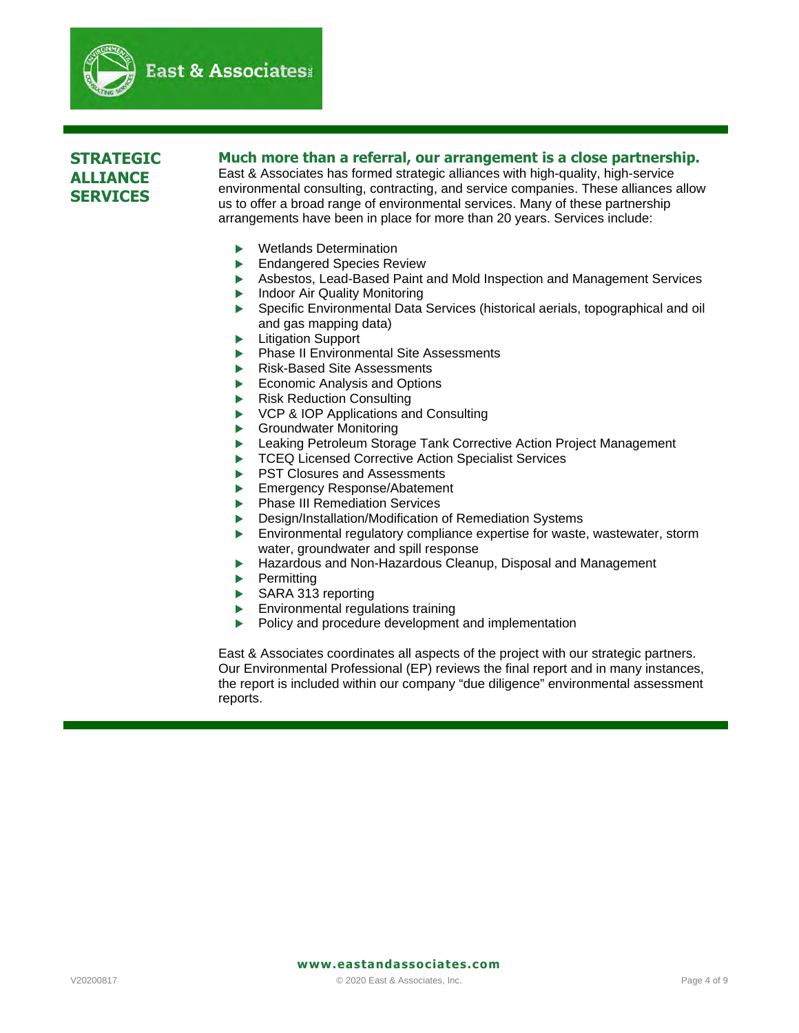

# **STRATEGIC ALLIANCE SERVICES**

#### **Much more than a referral, our arrangement is a close partnership.**

East & Associates has formed strategic alliances with high-quality, high-service environmental consulting, contracting, and service companies. These alliances allow us to offer a broad range of environmental services. Many of these partnership arrangements have been in place for more than 20 years. Services include:

Wetlands Determination

 $\mathbf{I}$ 

- Endangered Species Review
- Asbestos, Lead-Based Paint and Mold Inspection and Management Services
- Indoor Air Quality Monitoring
- Specific Environmental Data Services (historical aerials, topographical and oil and gas mapping data)
- Litigation Support
- Phase II Environmental Site Assessments
- Risk-Based Site Assessments
- Economic Analysis and Options
- Risk Reduction Consulting
- VCP & IOP Applications and Consulting
- Groundwater Monitoring
- Leaking Petroleum Storage Tank Corrective Action Project Management
- TCEQ Licensed Corrective Action Specialist Services
- **PST Closures and Assessments**
- Emergency Response/Abatement
- **Phase III Remediation Services**
- Design/Installation/Modification of Remediation Systems
- Environmental regulatory compliance expertise for waste, wastewater, storm water, groundwater and spill response
- Hazardous and Non-Hazardous Cleanup, Disposal and Management
- **Permitting**
- SARA 313 reporting
- Environmental regulations training
- $\blacktriangleright$  Policy and procedure development and implementation

East & Associates coordinates all aspects of the project with our strategic partners. Our Environmental Professional (EP) reviews the final report and in many instances, the report is included within our company "due diligence" environmental assessment reports.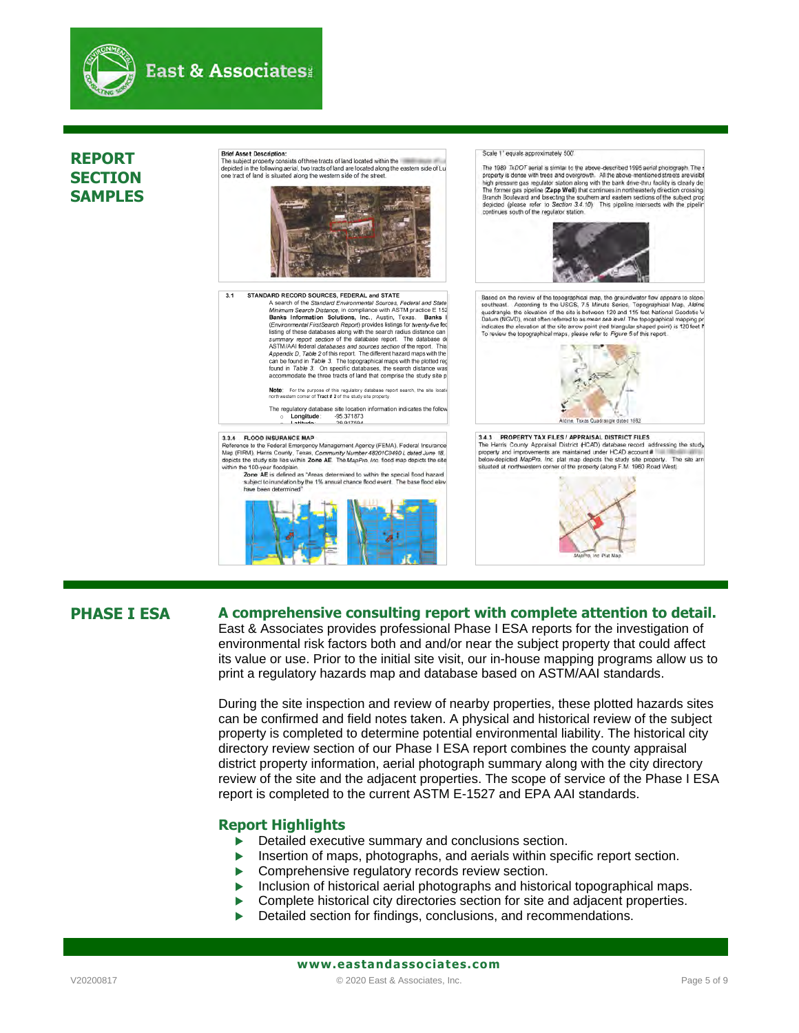

# **REPORT SECTION SAMPLES**

Scale 1" equals approximately 500" **Brief Asset Description:** Brief Asset Description:<br>The subject property consists of three tracts of land located within the<br>depicted in the following aerial, two tracts of land are located along the eastern The 1989 TxDOT serial is similar to the above-described 1995 aerial photograph. The property is dones with tens and overgrowth. All the above mentioned streets are viable high pressure gas regulator station along with the subject in the following aerial, two tracts of land are located along the eastern side of Lu<br>tract of land is situated along the western side of the street. Branch Boulevard and bisecting the southern and eastern sections of the subject prop<br>depicted (please refer to Section 3.4.10). This pipeline intersects with the pipelin continues south of the regulator station. STANDARD RECORD SOURCES, FEDERAL and STATE  $3.1$ ARD RECORD SOURCES, FEDERAL and STATE<br>A search of the Sharderd Environmental Sources. Federal and State<br>A Minimum Search Distance, in compliance with ASTM practice E 152<br>Banks Information Solutions, Inc... Austin, Texas. B  $\mu$ pherical or and the distribution can be found in Table 3. The topographical maps with the plotted reg found in Table 3. On specific databases, the search distance was accommodate the three tracts of land that comprise Note: For the purpose of this regulatory database report search, the site low northwestern corner of Tract # 2 of the study site property. The regulatory database site location information indicates the follo <br>  $\circ$  **Longitude**: -95.371873<br>  $\circ$  **Latitude:** 29.917594 3.3.4 FLOOD INSURANCE MAP

3.3.4 FLOOD INSURANCE MAP<br>Reference to the Federal Emergency Management Agency (FEMA), Federal Insurance<br>Map (FIRM), Harris County, Texas, Community Number 48201C0490 Lideted June 18,<br>depicts the study site lies within Zon

 $\mathbf{I}$ 

The 100-year floodplain.<br> **Zone AE** is defined as "Areas determined to within the special flood hazar<br>
subject to inundation by the 1% annual chance flood event. The base flood ek<br>
ham have determined: have been determi



Based on the review of the topographical map, the groundwater flow appears to slope-Southeast. According to the USGS, 7.5 Minute Series, Topographical Map. Altine<br>sudrangle, the elevation of the site is between 120 and 115 feet National Geodetic V<br>plaum (NGVD), most offer referred to as mean sea level. Th indicates the elevation at the site arrow point (red trangular shaped point)<br>To review the topographical maps, please refer to *Figure* 5 of this report

PROPERTY TAX FILES / APPRAISAL DISTRICT FILES 3.4.3 PROPERTY TAX FILES TAPPRAISAL DISTRICT FILES<br>The Harris County Appraisal District  $\#CAD$  database record addressing the study<br>property and improvements are maintained under HCAD account #<br>below-depicted *MapPro, Inc* situated at northwestern corner of the property (along F.M. 1960 Road West)

lidine. Texas Quadrangle dated 1982



Ι

#### **PHASE I ESA A comprehensive consulting report with complete attention to detail.**

East & Associates provides professional Phase I ESA reports for the investigation of environmental risk factors both and and/or near the subject property that could affect its value or use. Prior to the initial site visit, our in-house mapping programs allow us to print a regulatory hazards map and database based on ASTM/AAI standards.

During the site inspection and review of nearby properties, these plotted hazards sites can be confirmed and field notes taken. A physical and historical review of the subject property is completed to determine potential environmental liability. The historical city directory review section of our Phase I ESA report combines the county appraisal district property information, aerial photograph summary along with the city directory review of the site and the adjacent properties. The scope of service of the Phase I ESA report is completed to the current ASTM E-1527 and EPA AAI standards.

#### **Report Highlights**

- Detailed executive summary and conclusions section.
- Insertion of maps, photographs, and aerials within specific report section.
- Comprehensive regulatory records review section.
- Inclusion of historical aerial photographs and historical topographical maps.
- Complete historical city directories section for site and adjacent properties.
- Detailed section for findings, conclusions, and recommendations.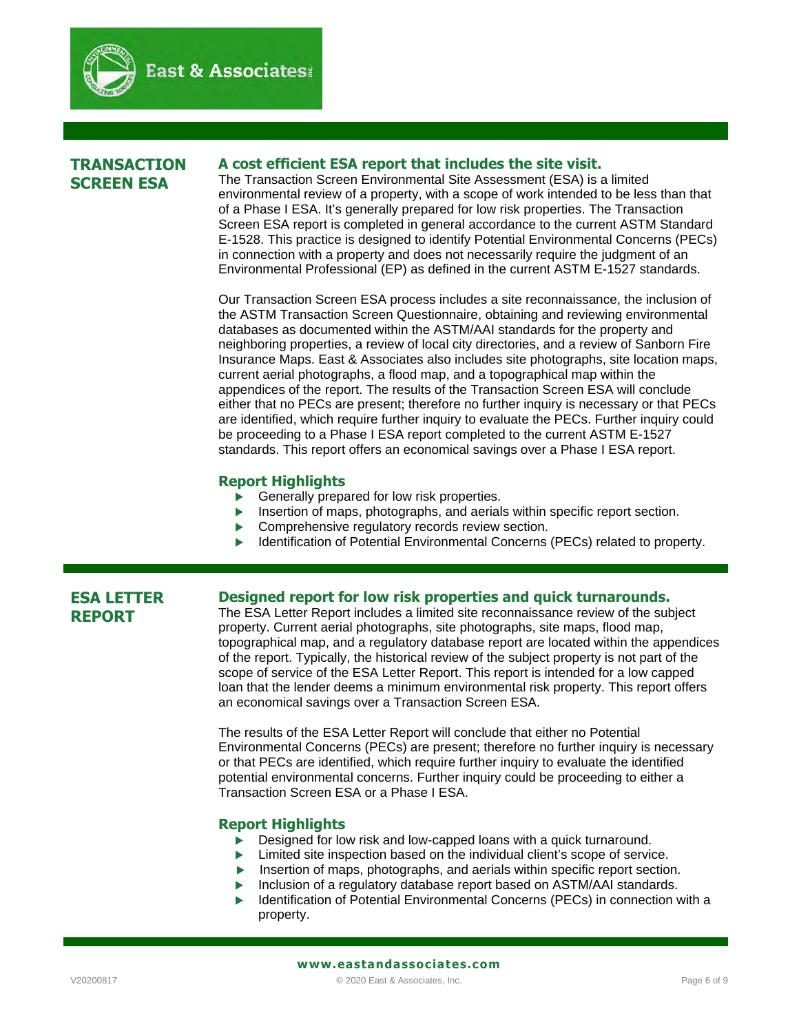

# **TRANSACTION SCREEN ESA**

### **A cost efficient ESA report that includes the site visit.**

 $\mathbf{I}$ 

The Transaction Screen Environmental Site Assessment (ESA) is a limited environmental review of a property, with a scope of work intended to be less than that of a Phase I ESA. It's generally prepared for low risk properties. The Transaction Screen ESA report is completed in general accordance to the current ASTM Standard E-1528. This practice is designed to identify Potential Environmental Concerns (PECs) in connection with a property and does not necessarily require the judgment of an Environmental Professional (EP) as defined in the current ASTM E-1527 standards.

Our Transaction Screen ESA process includes a site reconnaissance, the inclusion of the ASTM Transaction Screen Questionnaire, obtaining and reviewing environmental databases as documented within the ASTM/AAI standards for the property and neighboring properties, a review of local city directories, and a review of Sanborn Fire Insurance Maps. East & Associates also includes site photographs, site location maps, current aerial photographs, a flood map, and a topographical map within the appendices of the report. The results of the Transaction Screen ESA will conclude either that no PECs are present; therefore no further inquiry is necessary or that PECs are identified, which require further inquiry to evaluate the PECs. Further inquiry could be proceeding to a Phase I ESA report completed to the current ASTM E-1527 standards. This report offers an economical savings over a Phase I ESA report.

#### **Report Highlights**

- Generally prepared for low risk properties.
- Insertion of maps, photographs, and aerials within specific report section.
- Comprehensive regulatory records review section.
- Identification of Potential Environmental Concerns (PECs) related to property.

# **ESA LETTER REPORT**

#### **Designed report for low risk properties and quick turnarounds.**

The ESA Letter Report includes a limited site reconnaissance review of the subject property. Current aerial photographs, site photographs, site maps, flood map, topographical map, and a regulatory database report are located within the appendices of the report. Typically, the historical review of the subject property is not part of the scope of service of the ESA Letter Report. This report is intended for a low capped loan that the lender deems a minimum environmental risk property. This report offers an economical savings over a Transaction Screen ESA.

The results of the ESA Letter Report will conclude that either no Potential Environmental Concerns (PECs) are present; therefore no further inquiry is necessary or that PECs are identified, which require further inquiry to evaluate the identified potential environmental concerns. Further inquiry could be proceeding to either a Transaction Screen ESA or a Phase I ESA.

#### **Report Highlights**

- Designed for low risk and low-capped loans with a quick turnaround.
- **Limited site inspection based on the individual client's scope of service.**
- Insertion of maps, photographs, and aerials within specific report section.
- Inclusion of a regulatory database report based on ASTM/AAI standards.
- Identification of Potential Environmental Concerns (PECs) in connection with a property.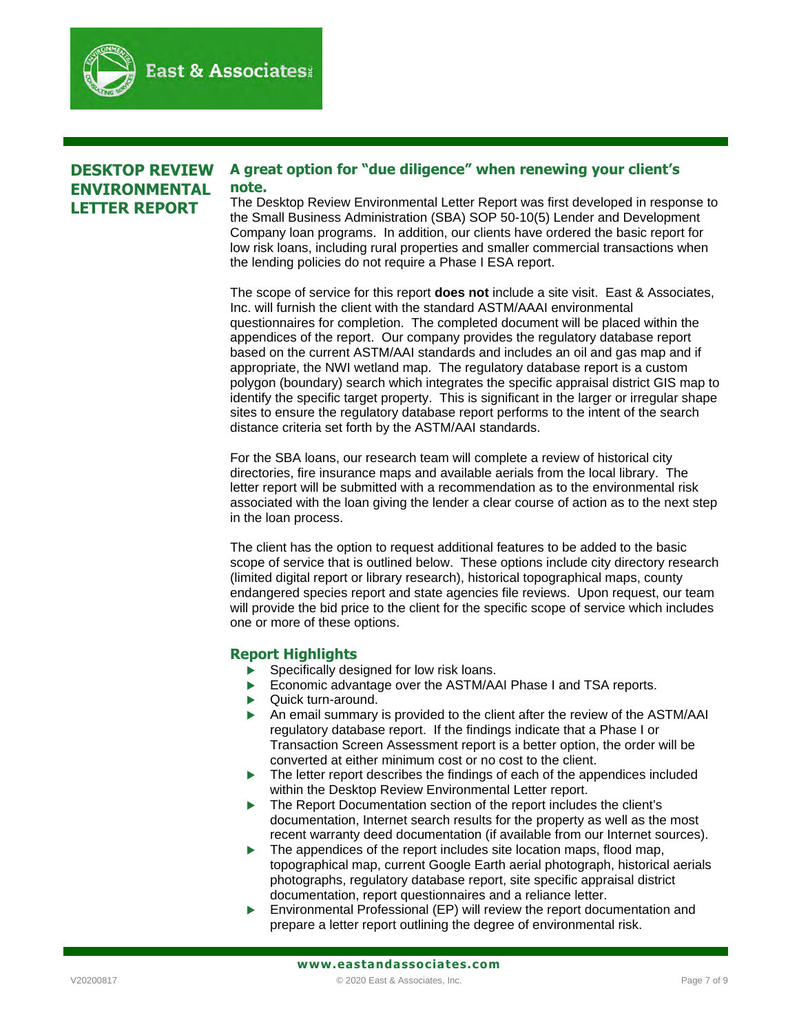# **DESKTOP REVIEW ENVIRONMENTAL LETTER REPORT**

#### **A great option for "due diligence" when renewing your client's note.**

The Desktop Review Environmental Letter Report was first developed in response to the Small Business Administration (SBA) SOP 50-10(5) Lender and Development Company loan programs. In addition, our clients have ordered the basic report for low risk loans, including rural properties and smaller commercial transactions when the lending policies do not require a Phase I ESA report.

The scope of service for this report **does not** include a site visit. East & Associates, Inc. will furnish the client with the standard ASTM/AAAI environmental questionnaires for completion. The completed document will be placed within the appendices of the report. Our company provides the regulatory database report based on the current ASTM/AAI standards and includes an oil and gas map and if appropriate, the NWI wetland map. The regulatory database report is a custom polygon (boundary) search which integrates the specific appraisal district GIS map to identify the specific target property. This is significant in the larger or irregular shape sites to ensure the regulatory database report performs to the intent of the search distance criteria set forth by the ASTM/AAI standards.

For the SBA loans, our research team will complete a review of historical city directories, fire insurance maps and available aerials from the local library. The letter report will be submitted with a recommendation as to the environmental risk associated with the loan giving the lender a clear course of action as to the next step in the loan process.

The client has the option to request additional features to be added to the basic scope of service that is outlined below. These options include city directory research (limited digital report or library research), historical topographical maps, county endangered species report and state agencies file reviews. Upon request, our team will provide the bid price to the client for the specific scope of service which includes one or more of these options.

# **Report Highlights**

- $\blacktriangleright$  Specifically designed for low risk loans.
- Economic advantage over the ASTM/AAI Phase I and TSA reports.
- ▶ Quick turn-around.

 $\mathbf{I}$ 

- An email summary is provided to the client after the review of the ASTM/AAI regulatory database report. If the findings indicate that a Phase I or Transaction Screen Assessment report is a better option, the order will be converted at either minimum cost or no cost to the client.
- The letter report describes the findings of each of the appendices included within the Desktop Review Environmental Letter report.
- The Report Documentation section of the report includes the client's documentation, Internet search results for the property as well as the most recent warranty deed documentation (if available from our Internet sources).
- $\blacktriangleright$  The appendices of the report includes site location maps, flood map, topographical map, current Google Earth aerial photograph, historical aerials photographs, regulatory database report, site specific appraisal district documentation, report questionnaires and a reliance letter.
- Environmental Professional (EP) will review the report documentation and prepare a letter report outlining the degree of environmental risk.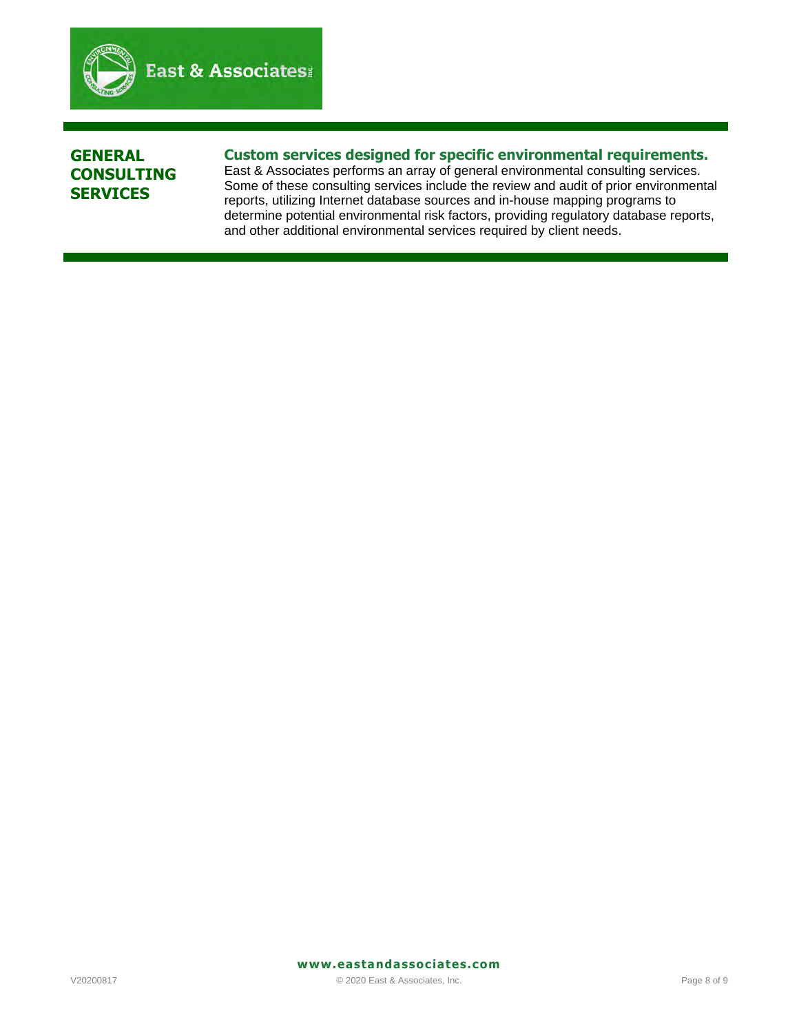$\mathbf{I}$ 

# **GENERAL CONSULTING SERVICES**

# **Custom services designed for specific environmental requirements.**

East & Associates performs an array of general environmental consulting services. Some of these consulting services include the review and audit of prior environmental reports, utilizing Internet database sources and in-house mapping programs to determine potential environmental risk factors, providing regulatory database reports, and other additional environmental services required by client needs.